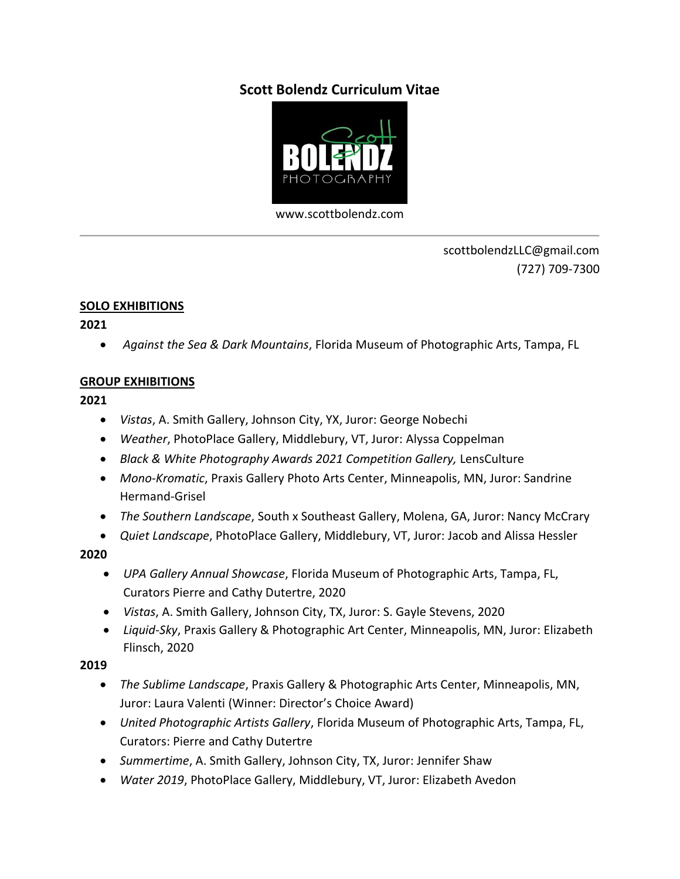# **Scott Bolendz Curriculum Vitae**



[www.scottbolendz.com](http://www.scottbolendz.com/)

scottbolendzLLC@gmail.com (727) 709-7300

#### **SOLO EXHIBITIONS**

**2021**

• *Against the Sea & Dark Mountains*, Florida Museum of Photographic Arts, Tampa, FL

#### **GROUP EXHIBITIONS**

**2021**

- *Vistas*, A. Smith Gallery, Johnson City, YX, Juror: George Nobechi
- *Weather*, PhotoPlace Gallery, Middlebury, VT, Juror: Alyssa Coppelman
- *Black & White Photography Awards 2021 Competition Gallery,* LensCulture
- *Mono-Kromatic*, Praxis Gallery Photo Arts Center, Minneapolis, MN, Juror: Sandrine Hermand-Grisel
- *The Southern Landscape*, South x Southeast Gallery, Molena, GA, Juror: Nancy McCrary
- *Quiet Landscape*, PhotoPlace Gallery, Middlebury, VT, Juror: Jacob and Alissa Hessler

#### **2020**

- *UPA Gallery Annual Showcase*, Florida Museum of Photographic Arts, Tampa, FL, Curators Pierre and Cathy Dutertre, 2020
- *Vistas*, A. Smith Gallery, Johnson City, TX, Juror: S. Gayle Stevens, 2020
- *Liquid-Sky*, Praxis Gallery & Photographic Art Center, Minneapolis, MN, Juror: Elizabeth Flinsch, 2020

# **2019**

- *The Sublime Landscape*, Praxis Gallery & Photographic Arts Center, Minneapolis, MN, Juror: Laura Valenti (Winner: Director's Choice Award)
- *United Photographic Artists Gallery*, Florida Museum of Photographic Arts, Tampa, FL, Curators: Pierre and Cathy Dutertre
- *Summertime*, A. Smith Gallery, Johnson City, TX, Juror: Jennifer Shaw
- *Water 2019*, PhotoPlace Gallery, Middlebury, VT, Juror: Elizabeth Avedon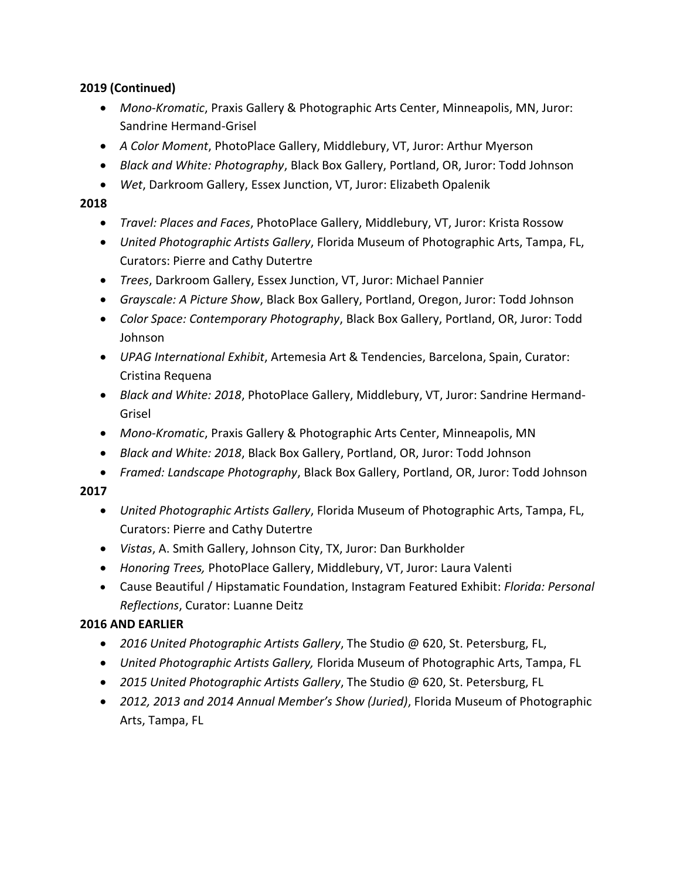# **2019 (Continued)**

- *Mono-Kromatic*, Praxis Gallery & Photographic Arts Center, Minneapolis, MN, Juror: Sandrine Hermand-Grisel
- *A Color Moment*, PhotoPlace Gallery, Middlebury, VT, Juror: Arthur Myerson
- *Black and White: Photography*, Black Box Gallery, Portland, OR, Juror: Todd Johnson
- *Wet*, Darkroom Gallery, Essex Junction, VT, Juror: Elizabeth Opalenik

### **2018**

- *Travel: Places and Faces*, PhotoPlace Gallery, Middlebury, VT, Juror: Krista Rossow
- *United Photographic Artists Gallery*, Florida Museum of Photographic Arts, Tampa, FL, Curators: Pierre and Cathy Dutertre
- *Trees*, Darkroom Gallery, Essex Junction, VT, Juror: Michael Pannier
- *Grayscale: A Picture Show*, Black Box Gallery, Portland, Oregon, Juror: Todd Johnson
- *Color Space: Contemporary Photography*, Black Box Gallery, Portland, OR, Juror: Todd Johnson
- *UPAG International Exhibit*, Artemesia Art & Tendencies, Barcelona, Spain, Curator: Cristina Requena
- *Black and White: 2018*, PhotoPlace Gallery, Middlebury, VT, Juror: Sandrine Hermand-Grisel
- *Mono-Kromatic*, Praxis Gallery & Photographic Arts Center, Minneapolis, MN
- *Black and White: 2018*, Black Box Gallery, Portland, OR, Juror: Todd Johnson
- *Framed: Landscape Photography*, Black Box Gallery, Portland, OR, Juror: Todd Johnson

# **2017**

- *United Photographic Artists Gallery*, Florida Museum of Photographic Arts, Tampa, FL, Curators: Pierre and Cathy Dutertre
- *Vistas*, A. Smith Gallery, Johnson City, TX, Juror: Dan Burkholder
- *Honoring Trees,* PhotoPlace Gallery, Middlebury, VT, Juror: Laura Valenti
- Cause Beautiful / Hipstamatic Foundation, Instagram Featured Exhibit: *Florida: Personal Reflections*, Curator: Luanne Deitz

# **2016 AND EARLIER**

- *2016 United Photographic Artists Gallery*, The Studio @ 620, St. Petersburg, FL,
- *United Photographic Artists Gallery,* Florida Museum of Photographic Arts, Tampa, FL
- *2015 United Photographic Artists Gallery*, The Studio @ 620, St. Petersburg, FL
- *2012, 2013 and 2014 Annual Member's Show (Juried)*, Florida Museum of Photographic Arts, Tampa, FL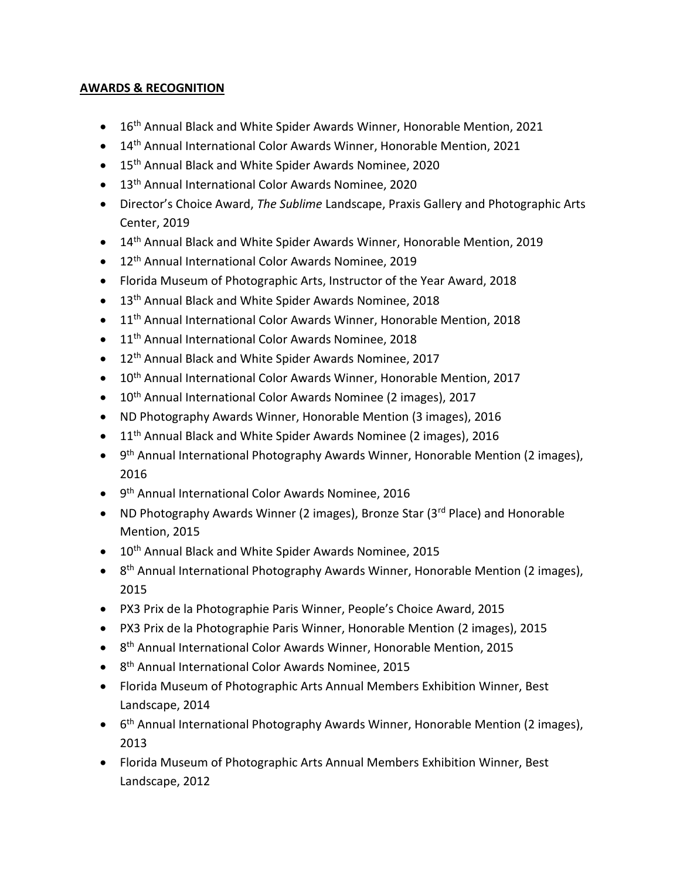# **AWARDS & RECOGNITION**

- 16<sup>th</sup> Annual Black and White Spider Awards Winner, Honorable Mention, 2021
- 14<sup>th</sup> Annual International Color Awards Winner, Honorable Mention, 2021
- 15<sup>th</sup> Annual Black and White Spider Awards Nominee, 2020
- 13<sup>th</sup> Annual International Color Awards Nominee, 2020
- Director's Choice Award, *The Sublime* Landscape, Praxis Gallery and Photographic Arts Center, 2019
- 14<sup>th</sup> Annual Black and White Spider Awards Winner, Honorable Mention, 2019
- 12<sup>th</sup> Annual International Color Awards Nominee, 2019
- Florida Museum of Photographic Arts, Instructor of the Year Award, 2018
- 13<sup>th</sup> Annual Black and White Spider Awards Nominee, 2018
- 11<sup>th</sup> Annual International Color Awards Winner, Honorable Mention, 2018
- 11<sup>th</sup> Annual International Color Awards Nominee, 2018
- 12<sup>th</sup> Annual Black and White Spider Awards Nominee, 2017
- 10<sup>th</sup> Annual International Color Awards Winner, Honorable Mention, 2017
- 10<sup>th</sup> Annual International Color Awards Nominee (2 images), 2017
- ND Photography Awards Winner, Honorable Mention (3 images), 2016
- 11<sup>th</sup> Annual Black and White Spider Awards Nominee (2 images), 2016
- 9<sup>th</sup> Annual International Photography Awards Winner, Honorable Mention (2 images), 2016
- 9 th Annual International Color Awards Nominee, 2016
- ND Photography Awards Winner (2 images), Bronze Star (3rd Place) and Honorable Mention, 2015
- 10<sup>th</sup> Annual Black and White Spider Awards Nominee, 2015
- 8<sup>th</sup> Annual International Photography Awards Winner, Honorable Mention (2 images), 2015
- PX3 Prix de la Photographie Paris Winner, People's Choice Award, 2015
- PX3 Prix de la Photographie Paris Winner, Honorable Mention (2 images), 2015
- 8<sup>th</sup> Annual International Color Awards Winner, Honorable Mention, 2015
- 8<sup>th</sup> Annual International Color Awards Nominee, 2015
- Florida Museum of Photographic Arts Annual Members Exhibition Winner, Best Landscape, 2014
- 6<sup>th</sup> Annual International Photography Awards Winner, Honorable Mention (2 images), 2013
- Florida Museum of Photographic Arts Annual Members Exhibition Winner, Best Landscape, 2012